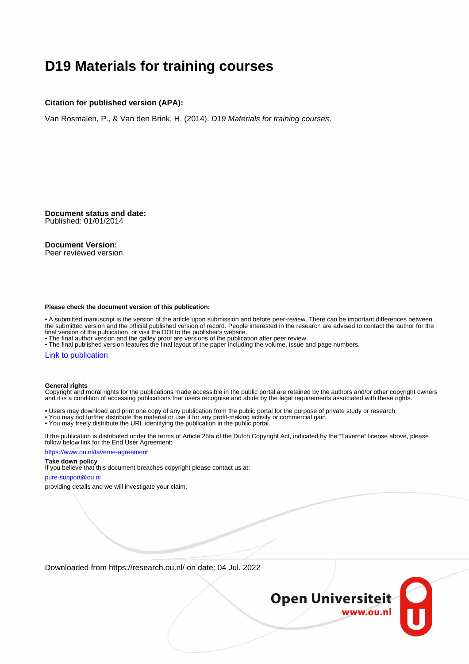# **D19 Materials for training courses**

## **Citation for published version (APA):**

Van Rosmalen, P., & Van den Brink, H. (2014). D19 Materials for training courses.

**Document status and date:** Published: 01/01/2014

## **Document Version:**

Peer reviewed version

#### **Please check the document version of this publication:**

• A submitted manuscript is the version of the article upon submission and before peer-review. There can be important differences between the submitted version and the official published version of record. People interested in the research are advised to contact the author for the final version of the publication, or visit the DOI to the publisher's website.

• The final author version and the galley proof are versions of the publication after peer review.

• The final published version features the final layout of the paper including the volume, issue and page numbers.

### [Link to publication](https://research.ou.nl/en/publications/e58ce8b4-5e94-4898-b9e4-889f18651d77)

#### **General rights**

Copyright and moral rights for the publications made accessible in the public portal are retained by the authors and/or other copyright owners and it is a condition of accessing publications that users recognise and abide by the legal requirements associated with these rights.

- Users may download and print one copy of any publication from the public portal for the purpose of private study or research.
- You may not further distribute the material or use it for any profit-making activity or commercial gain
- You may freely distribute the URL identifying the publication in the public portal.

If the publication is distributed under the terms of Article 25fa of the Dutch Copyright Act, indicated by the "Taverne" license above, please follow below link for the End User Agreement:

#### https://www.ou.nl/taverne-agreement

# **Take down policy**

If you believe that this document breaches copyright please contact us at:

#### pure-support@ou.nl

providing details and we will investigate your claim.

Downloaded from https://research.ou.nl/ on date: 04 Jul. 2022

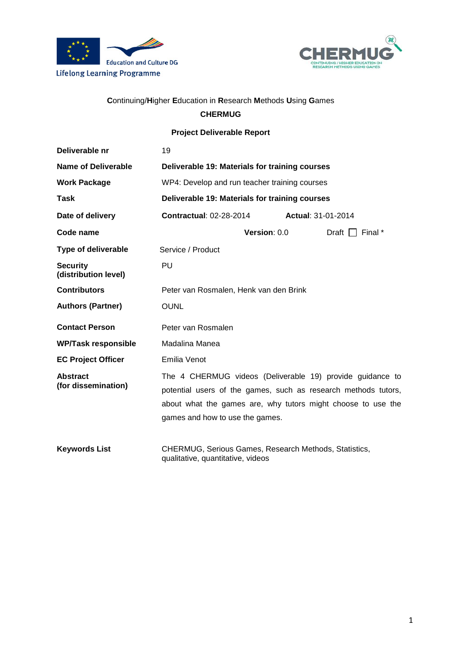



# Continuing/Higher Education in Research Methods Using Games

# **CHERMUG**

**Project Deliverable Report** 

| Deliverable nr                          | 19                                                                                                                                                                                                                             |                           |
|-----------------------------------------|--------------------------------------------------------------------------------------------------------------------------------------------------------------------------------------------------------------------------------|---------------------------|
| Name of Deliverable                     | Deliverable 19: Materials for training courses                                                                                                                                                                                 |                           |
| <b>Work Package</b>                     | WP4: Develop and run teacher training courses                                                                                                                                                                                  |                           |
| <b>Task</b>                             | Deliverable 19: Materials for training courses                                                                                                                                                                                 |                           |
| Date of delivery                        | <b>Contractual: 02-28-2014</b>                                                                                                                                                                                                 | <b>Actual: 31-01-2014</b> |
| Code name                               | Version: 0.0                                                                                                                                                                                                                   | Draft $\Box$ Final *      |
| <b>Type of deliverable</b>              | Service / Product                                                                                                                                                                                                              |                           |
| <b>Security</b><br>(distribution level) | PU                                                                                                                                                                                                                             |                           |
| <b>Contributors</b>                     | Peter van Rosmalen, Henk van den Brink                                                                                                                                                                                         |                           |
| <b>Authors (Partner)</b>                | <b>OUNL</b>                                                                                                                                                                                                                    |                           |
| <b>Contact Person</b>                   | Peter van Rosmalen                                                                                                                                                                                                             |                           |
| <b>WP/Task responsible</b>              | Madalina Manea                                                                                                                                                                                                                 |                           |
| <b>EC Project Officer</b>               | Emilia Venot                                                                                                                                                                                                                   |                           |
| <b>Abstract</b><br>(for dissemination)  | The 4 CHERMUG videos (Deliverable 19) provide guidance to<br>potential users of the games, such as research methods tutors,<br>about what the games are, why tutors might choose to use the<br>games and how to use the games. |                           |
| <b>Keywords List</b>                    | CHERMUG, Serious Games, Research Methods, Statistics,<br>qualitative, quantitative, videos                                                                                                                                     |                           |